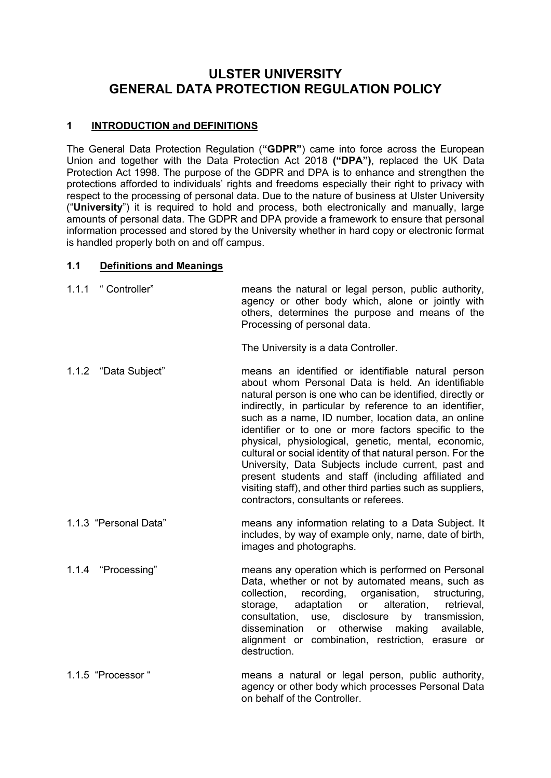# **ULSTER UNIVERSITY GENERAL DATA PROTECTION REGULATION POLICY**

# **1 INTRODUCTION and DEFINITIONS**

The General Data Protection Regulation (**"GDPR"**) came into force across the European Union and together with the Data Protection Act 2018 **("DPA")**, replaced the UK Data Protection Act 1998. The purpose of the GDPR and DPA is to enhance and strengthen the protections afforded to individuals' rights and freedoms especially their right to privacy with respect to the processing of personal data. Due to the nature of business at Ulster University ("**University**") it is required to hold and process, both electronically and manually, large amounts of personal data. The GDPR and DPA provide a framework to ensure that personal information processed and stored by the University whether in hard copy or electronic format is handled properly both on and off campus.

# **1.1 Definitions and Meanings**

| 1.1.1 "Controller"    | means the natural or legal person, public authority,<br>agency or other body which, alone or jointly with<br>others, determines the purpose and means of the<br>Processing of personal data.                                                                                                                                                                                                                                                                                                                                                                                                                                                                                                |
|-----------------------|---------------------------------------------------------------------------------------------------------------------------------------------------------------------------------------------------------------------------------------------------------------------------------------------------------------------------------------------------------------------------------------------------------------------------------------------------------------------------------------------------------------------------------------------------------------------------------------------------------------------------------------------------------------------------------------------|
|                       | The University is a data Controller.                                                                                                                                                                                                                                                                                                                                                                                                                                                                                                                                                                                                                                                        |
| 1.1.2 "Data Subject"  | means an identified or identifiable natural person<br>about whom Personal Data is held. An identifiable<br>natural person is one who can be identified, directly or<br>indirectly, in particular by reference to an identifier,<br>such as a name, ID number, location data, an online<br>identifier or to one or more factors specific to the<br>physical, physiological, genetic, mental, economic,<br>cultural or social identity of that natural person. For the<br>University, Data Subjects include current, past and<br>present students and staff (including affiliated and<br>visiting staff), and other third parties such as suppliers,<br>contractors, consultants or referees. |
| 1.1.3 "Personal Data" | means any information relating to a Data Subject. It<br>includes, by way of example only, name, date of birth,<br>images and photographs.                                                                                                                                                                                                                                                                                                                                                                                                                                                                                                                                                   |
| 1.1.4 "Processing"    | means any operation which is performed on Personal<br>Data, whether or not by automated means, such as<br>collection, recording, organisation,<br>structuring,<br>adaptation<br>alteration,<br>storage,<br>retrieval,<br>or<br>consultation, use, disclosure<br>by transmission,<br>otherwise<br>dissemination<br><b>or</b><br>making<br>available,<br>alignment or combination, restriction, erasure or<br>destruction.                                                                                                                                                                                                                                                                    |
| 1.1.5 "Processor "    | means a natural or legal person, public authority,<br>agency or other body which processes Personal Data                                                                                                                                                                                                                                                                                                                                                                                                                                                                                                                                                                                    |

on behalf of the Controller.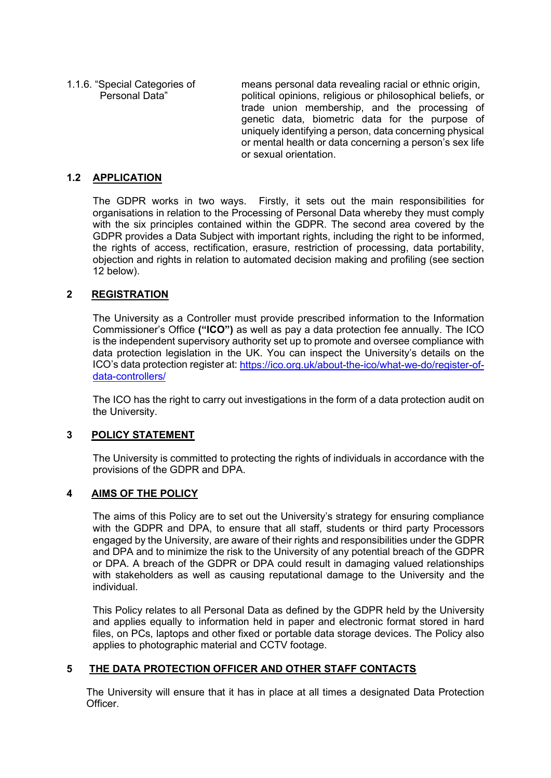1.1.6. "Special Categories of means personal data revealing racial or ethnic origin, political opinions, religious or philosophical beliefs, or trade union membership, and the processing of genetic data, biometric data for the purpose of uniquely identifying a person, data concerning physical or mental health or data concerning a person's sex life or sexual orientation.

# **1.2 APPLICATION**

The GDPR works in two ways. Firstly, it sets out the main responsibilities for organisations in relation to the Processing of Personal Data whereby they must comply with the six principles contained within the GDPR. The second area covered by the GDPR provides a Data Subject with important rights, including the right to be informed, the rights of access, rectification, erasure, restriction of processing, data portability, objection and rights in relation to automated decision making and profiling (see section 12 below).

# **2 REGISTRATION**

The University as a Controller must provide prescribed information to the Information Commissioner's Office **("ICO")** as well as pay a data protection fee annually. The ICO is the independent supervisory authority set up to promote and oversee compliance with data protection legislation in the UK. You can inspect the University's details on the ICO's data protection register at: [https://ico.org.uk/about-the-ico/what-we-do/register-of](https://ico.org.uk/about-the-ico/what-we-do/register-of-data-controllers/)[data-controllers/](https://ico.org.uk/about-the-ico/what-we-do/register-of-data-controllers/)

The ICO has the right to carry out investigations in the form of a data protection audit on the University.

# **3 POLICY STATEMENT**

The University is committed to protecting the rights of individuals in accordance with the provisions of the GDPR and DPA.

# **4 AIMS OF THE POLICY**

The aims of this Policy are to set out the University's strategy for ensuring compliance with the GDPR and DPA, to ensure that all staff, students or third party Processors engaged by the University, are aware of their rights and responsibilities under the GDPR and DPA and to minimize the risk to the University of any potential breach of the GDPR or DPA. A breach of the GDPR or DPA could result in damaging valued relationships with stakeholders as well as causing reputational damage to the University and the individual.

This Policy relates to all Personal Data as defined by the GDPR held by the University and applies equally to information held in paper and electronic format stored in hard files, on PCs, laptops and other fixed or portable data storage devices. The Policy also applies to photographic material and CCTV footage.

# **5 THE DATA PROTECTION OFFICER AND OTHER STAFF CONTACTS**

The University will ensure that it has in place at all times a designated Data Protection **Officer**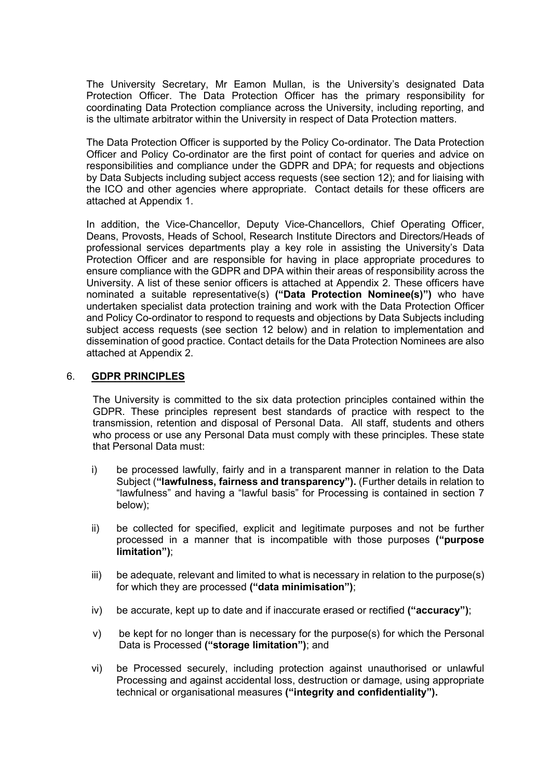The University Secretary, Mr Eamon Mullan, is the University's designated Data Protection Officer. The Data Protection Officer has the primary responsibility for coordinating Data Protection compliance across the University, including reporting, and is the ultimate arbitrator within the University in respect of Data Protection matters.

The Data Protection Officer is supported by the Policy Co-ordinator. The Data Protection Officer and Policy Co-ordinator are the first point of contact for queries and advice on responsibilities and compliance under the GDPR and DPA; for requests and objections by Data Subjects including subject access requests (see section 12); and for liaising with the ICO and other agencies where appropriate. Contact details for these officers are attached at Appendix 1.

In addition, the Vice-Chancellor, Deputy Vice-Chancellors, Chief Operating Officer, Deans, Provosts, Heads of School, Research Institute Directors and Directors/Heads of professional services departments play a key role in assisting the University's Data Protection Officer and are responsible for having in place appropriate procedures to ensure compliance with the GDPR and DPA within their areas of responsibility across the University. A list of these senior officers is attached at Appendix 2. These officers have nominated a suitable representative(s) **("Data Protection Nominee(s)")** who have undertaken specialist data protection training and work with the Data Protection Officer and Policy Co-ordinator to respond to requests and objections by Data Subjects including subject access requests (see section 12 below) and in relation to implementation and dissemination of good practice. Contact details for the Data Protection Nominees are also attached at Appendix 2.

#### 6. **GDPR PRINCIPLES**

The University is committed to the six data protection principles contained within the GDPR. These principles represent best standards of practice with respect to the transmission, retention and disposal of Personal Data. All staff, students and others who process or use any Personal Data must comply with these principles. These state that Personal Data must:

- i) be processed lawfully, fairly and in a transparent manner in relation to the Data Subject (**"lawfulness, fairness and transparency").** (Further details in relation to "lawfulness" and having a "lawful basis" for Processing is contained in section 7 below);
- ii) be collected for specified, explicit and legitimate purposes and not be further processed in a manner that is incompatible with those purposes **("purpose limitation")**;
- $\sin$  be adequate, relevant and limited to what is necessary in relation to the purpose(s) for which they are processed **("data minimisation")**;
- iv) be accurate, kept up to date and if inaccurate erased or rectified **("accuracy")**;
- v) be kept for no longer than is necessary for the purpose(s) for which the Personal Data is Processed **("storage limitation")**; and
- vi) be Processed securely, including protection against unauthorised or unlawful Processing and against accidental loss, destruction or damage, using appropriate technical or organisational measures **("integrity and confidentiality").**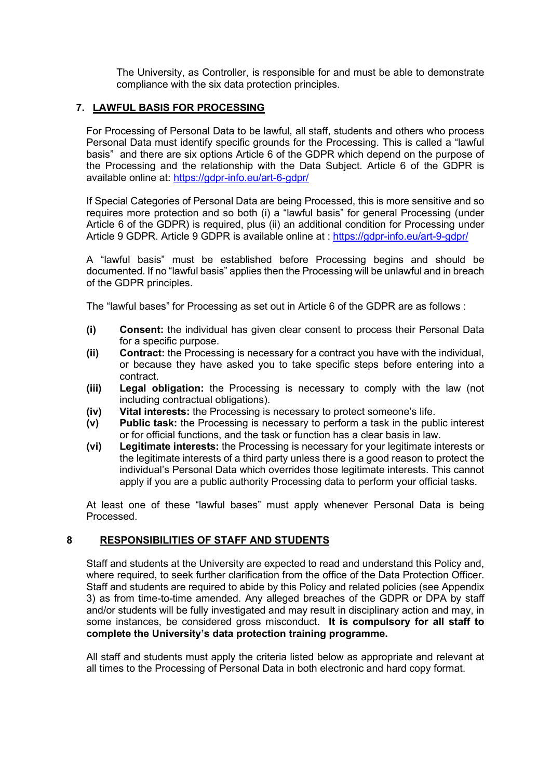The University, as Controller, is responsible for and must be able to demonstrate compliance with the six data protection principles.

# **7. LAWFUL BASIS FOR PROCESSING**

For Processing of Personal Data to be lawful, all staff, students and others who process Personal Data must identify specific grounds for the Processing. This is called a "lawful basis" and there are six options Article 6 of the GDPR which depend on the purpose of the Processing and the relationship with the Data Subject. Article 6 of the GDPR is available online at:<https://gdpr-info.eu/art-6-gdpr/>

If Special Categories of Personal Data are being Processed, this is more sensitive and so requires more protection and so both (i) a "lawful basis" for general Processing (under Article 6 of the GDPR) is required, plus (ii) an additional condition for Processing under Article 9 GDPR. Article 9 GDPR is available online at : <https://gdpr-info.eu/art-9-gdpr/>

A "lawful basis" must be established before Processing begins and should be documented. If no "lawful basis" applies then the Processing will be unlawful and in breach of the GDPR principles.

The "lawful bases" for Processing as set out in Article 6 of the GDPR are as follows :

- **(i) Consent:** the individual has given clear consent to process their Personal Data for a specific purpose.
- **(ii) Contract:** the Processing is necessary for a contract you have with the individual, or because they have asked you to take specific steps before entering into a contract.
- **(iii) Legal obligation:** the Processing is necessary to comply with the law (not including contractual obligations).
- **(iv) Vital interests:** the Processing is necessary to protect someone's life.
- **(v) Public task:** the Processing is necessary to perform a task in the public interest or for official functions, and the task or function has a clear basis in law.
- **(vi) Legitimate interests:** the Processing is necessary for your legitimate interests or the legitimate interests of a third party unless there is a good reason to protect the individual's Personal Data which overrides those legitimate interests. This cannot apply if you are a public authority Processing data to perform your official tasks.

At least one of these "lawful bases" must apply whenever Personal Data is being Processed.

# **8 RESPONSIBILITIES OF STAFF AND STUDENTS**

Staff and students at the University are expected to read and understand this Policy and, where required, to seek further clarification from the office of the Data Protection Officer. Staff and students are required to abide by this Policy and related policies (see Appendix 3) as from time-to-time amended. Any alleged breaches of the GDPR or DPA by staff and/or students will be fully investigated and may result in disciplinary action and may, in some instances, be considered gross misconduct. **It is compulsory for all staff to complete the University's data protection training programme.** 

All staff and students must apply the criteria listed below as appropriate and relevant at all times to the Processing of Personal Data in both electronic and hard copy format.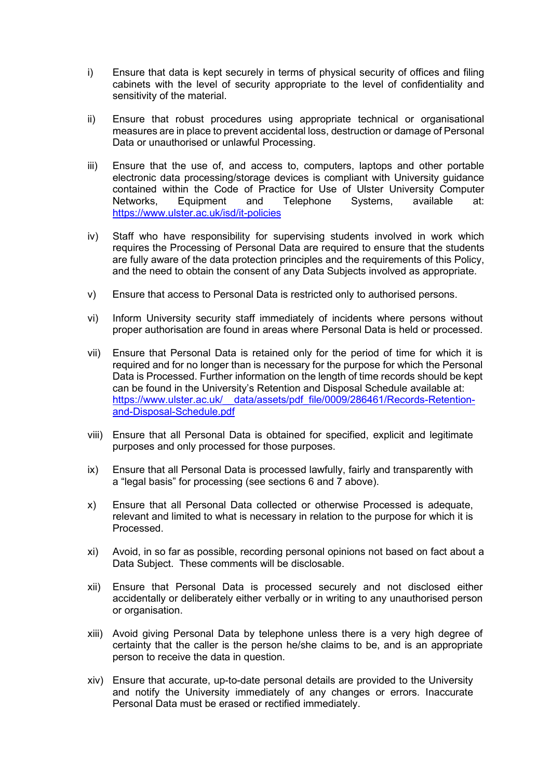- i) Ensure that data is kept securely in terms of physical security of offices and filing cabinets with the level of security appropriate to the level of confidentiality and sensitivity of the material.
- ii) Ensure that robust procedures using appropriate technical or organisational measures are in place to prevent accidental loss, destruction or damage of Personal Data or unauthorised or unlawful Processing.
- iii) Ensure that the use of, and access to, computers, laptops and other portable electronic data processing/storage devices is compliant with University guidance contained within the Code of Practice for Use of Ulster University Computer<br>Networks. Equipment and Telephone Systems. available at: Equipment and Telephone Systems, available at: <https://www.ulster.ac.uk/isd/it-policies>
- iv) Staff who have responsibility for supervising students involved in work which requires the Processing of Personal Data are required to ensure that the students are fully aware of the data protection principles and the requirements of this Policy, and the need to obtain the consent of any Data Subjects involved as appropriate.
- v) Ensure that access to Personal Data is restricted only to authorised persons.
- vi) Inform University security staff immediately of incidents where persons without proper authorisation are found in areas where Personal Data is held or processed.
- vii) Ensure that Personal Data is retained only for the period of time for which it is required and for no longer than is necessary for the purpose for which the Personal Data is Processed. Further information on the length of time records should be kept can be found in the University's Retention and Disposal Schedule available at: https://www.ulster.ac.uk/ data/assets/pdf\_file/0009/286461/Records-Retention[and-Disposal-Schedule.pdf](https://www.ulster.ac.uk/__data/assets/pdf_file/0009/286461/Records-Retention-and-Disposal-Schedule.pdf)
- viii) Ensure that all Personal Data is obtained for specified, explicit and legitimate purposes and only processed for those purposes.
- ix) Ensure that all Personal Data is processed lawfully, fairly and transparently with a "legal basis" for processing (see sections 6 and 7 above).
- x) Ensure that all Personal Data collected or otherwise Processed is adequate, relevant and limited to what is necessary in relation to the purpose for which it is Processed.
- xi) Avoid, in so far as possible, recording personal opinions not based on fact about a Data Subject. These comments will be disclosable.
- xii) Ensure that Personal Data is processed securely and not disclosed either accidentally or deliberately either verbally or in writing to any unauthorised person or organisation.
- xiii) Avoid giving Personal Data by telephone unless there is a very high degree of certainty that the caller is the person he/she claims to be, and is an appropriate person to receive the data in question.
- xiv) Ensure that accurate, up-to-date personal details are provided to the University and notify the University immediately of any changes or errors. Inaccurate Personal Data must be erased or rectified immediately.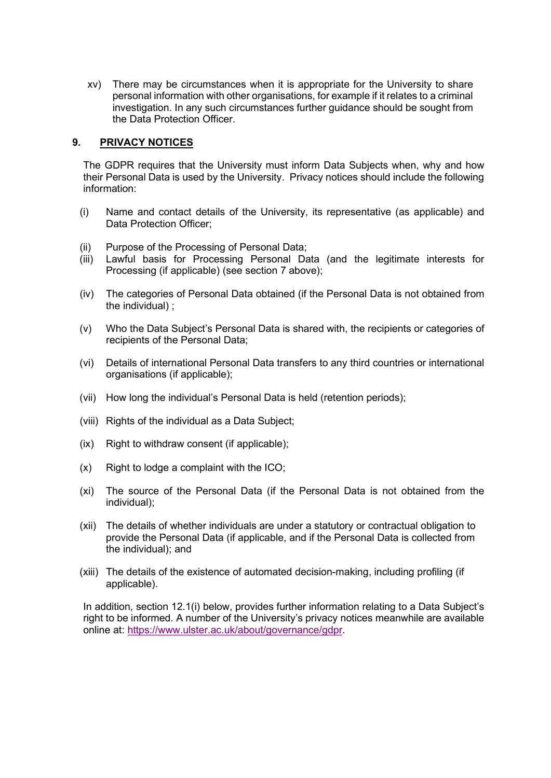xv) There may be circumstances when it is appropriate for the University to share personal information with other organisations, for example if it relates to a criminal investigation. In any such circumstances further guidance should be sought from the Data Protection Officer.

### **9. PRIVACY NOTICES**

The GDPR requires that the University must inform Data Subjects when, why and how their Personal Data is used by the University. Privacy notices should include the following information:

- (i) Name and contact details of the University, its representative (as applicable) and Data Protection Officer;
- (ii) Purpose of the Processing of Personal Data;
- (iii) Lawful basis for Processing Personal Data (and the legitimate interests for Processing (if applicable) (see section 7 above);
- (iv) The categories of Personal Data obtained (if the Personal Data is not obtained from the individual) ;
- (v) Who the Data Subject's Personal Data is shared with, the recipients or categories of recipients of the Personal Data;
- (vi) Details of international Personal Data transfers to any third countries or international organisations (if applicable);
- (vii) How long the individual's Personal Data is held (retention periods);
- (viii) Rights of the individual as a Data Subject;
- (ix) Right to withdraw consent (if applicable);
- $(x)$  Right to lodge a complaint with the ICO;
- (xi) The source of the Personal Data (if the Personal Data is not obtained from the individual);
- (xii) The details of whether individuals are under a statutory or contractual obligation to provide the Personal Data (if applicable, and if the Personal Data is collected from the individual); and
- (xiii) The details of the existence of automated decision-making, including profiling (if applicable).

In addition, section 12.1(i) below, provides further information relating to a Data Subject's right to be informed. A number of the University's privacy notices meanwhile are available online at: [https://www.ulster.ac.uk/about/governance/gdpr.](https://www.ulster.ac.uk/about/governance/gdpr)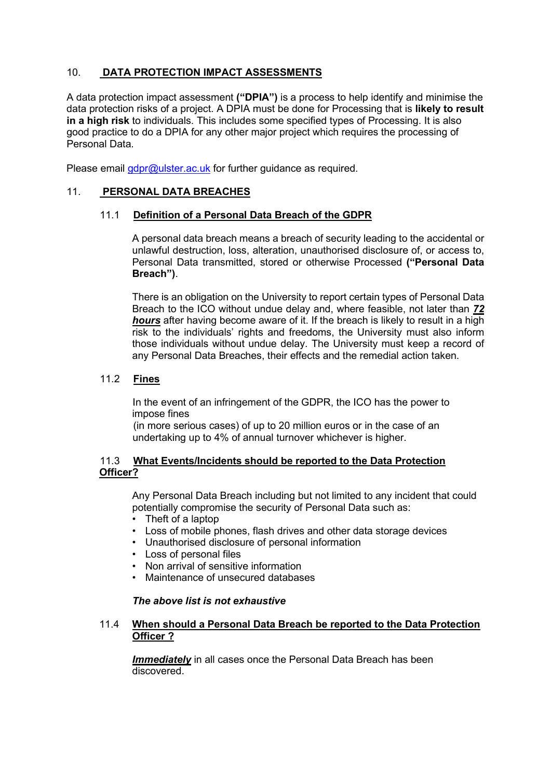# 10. **DATA PROTECTION IMPACT ASSESSMENTS**

A data protection impact assessment **("DPIA")** is a process to help identify and minimise the data protection risks of a project. A DPIA must be done for Processing that is **likely to result in a high risk** to individuals. This includes some specified types of Processing. It is also good practice to do a DPIA for any other major project which requires the processing of Personal Data.

Please email *[gdpr@ulster.ac.uk](mailto:gdpr@ulster.ac.uk)* for further guidance as required.

# 11. **PERSONAL DATA BREACHES**

#### 11.1 **Definition of a Personal Data Breach of the GDPR**

A personal data breach means a breach of security leading to the accidental or unlawful destruction, loss, alteration, unauthorised disclosure of, or access to, Personal Data transmitted, stored or otherwise Processed **("Personal Data Breach")**.

There is an obligation on the University to report certain types of Personal Data Breach to the ICO without undue delay and, where feasible, not later than *72 hours* after having become aware of it. If the breach is likely to result in a high risk to the individuals' rights and freedoms, the University must also inform those individuals without undue delay. The University must keep a record of any Personal Data Breaches, their effects and the remedial action taken.

#### 11.2 **Fines**

In the event of an infringement of the GDPR, the ICO has the power to impose fines

(in more serious cases) of up to 20 million euros or in the case of an undertaking up to 4% of annual turnover whichever is higher.

#### 11.3 **What Events/Incidents should be reported to the Data Protection Officer?**

Any Personal Data Breach including but not limited to any incident that could potentially compromise the security of Personal Data such as:

- Theft of a laptop
- Loss of mobile phones, flash drives and other data storage devices
- Unauthorised disclosure of personal information
- Loss of personal files
- Non arrival of sensitive information
- Maintenance of unsecured databases

#### *The above list is not exhaustive*

#### 11.4 **When should a Personal Data Breach be reported to the Data Protection Officer ?**

*Immediately* in all cases once the Personal Data Breach has been discovered.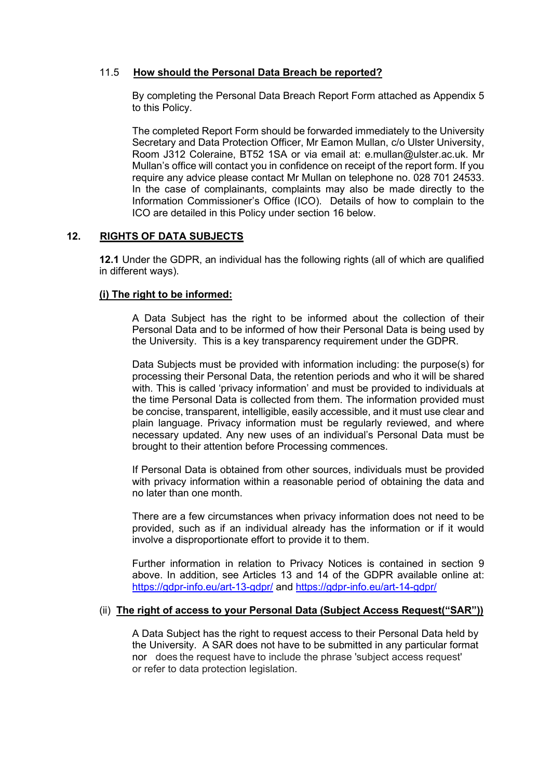# 11.5 **How should the Personal Data Breach be reported?**

By completing the Personal Data Breach Report Form attached as Appendix 5 to this Policy.

The completed Report Form should be forwarded immediately to the University Secretary and Data Protection Officer, Mr Eamon Mullan, c/o Ulster University, Room J312 Coleraine, BT52 1SA or via email at: e.mullan@ulster.ac.uk. Mr Mullan's office will contact you in confidence on receipt of the report form. If you require any advice please contact Mr Mullan on telephone no. 028 701 24533. In the case of complainants, complaints may also be made directly to the Information Commissioner's Office (ICO). Details of how to complain to the ICO are detailed in this Policy under section 16 below.

# **12. RIGHTS OF DATA SUBJECTS**

**12.1** Under the GDPR, an individual has the following rights (all of which are qualified in different ways).

# **(i) The right to be informed:**

A Data Subject has the right to be informed about the collection of their Personal Data and to be informed of how their Personal Data is being used by the University. This is a key transparency requirement under the GDPR.

Data Subjects must be provided with information including: the purpose(s) for processing their Personal Data, the retention periods and who it will be shared with. This is called 'privacy information' and must be provided to individuals at the time Personal Data is collected from them. The information provided must be concise, transparent, intelligible, easily accessible, and it must use clear and plain language. Privacy information must be regularly reviewed, and where necessary updated. Any new uses of an individual's Personal Data must be brought to their attention before Processing commences.

If Personal Data is obtained from other sources, individuals must be provided with privacy information within a reasonable period of obtaining the data and no later than one month.

There are a few circumstances when privacy information does not need to be provided, such as if an individual already has the information or if it would involve a disproportionate effort to provide it to them.

Further information in relation to Privacy Notices is contained in section 9 above. In addition, see Articles 13 and 14 of the GDPR available online at: <https://gdpr-info.eu/art-13-gdpr/> and<https://gdpr-info.eu/art-14-gdpr/>

# (ii) **The right of access to your Personal Data (Subject Access Request("SAR"))**

A Data Subject has the right to request access to their Personal Data held by the University. A SAR does not have to be submitted in any particular format nor does the request have to include the phrase 'subject access request' or refer to data protection legislation.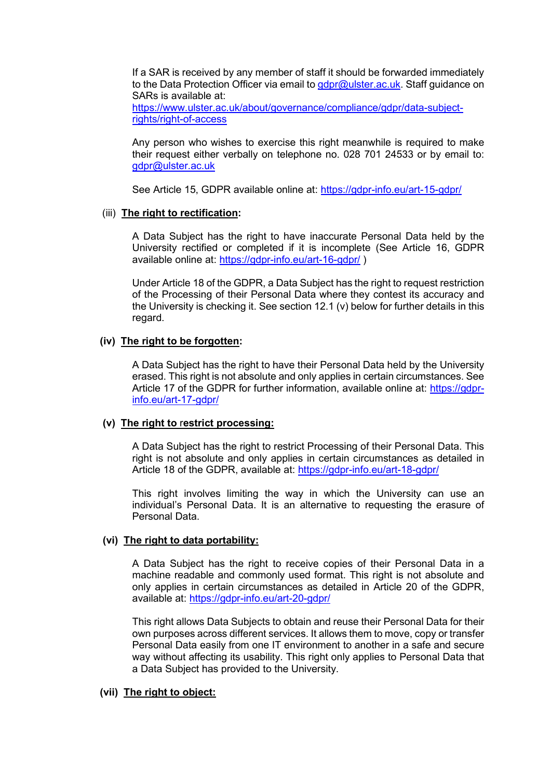If a SAR is received by any member of staff it should be forwarded immediately to the Data Protection Officer via email to [gdpr@ulster.ac.uk.](mailto:gdpr@ulster.ac.uk) Staff guidance on SARs is available at:

[https://www.ulster.ac.uk/about/governance/compliance/gdpr/data-subject](https://www.ulster.ac.uk/about/governance/compliance/gdpr/data-subject-rights/right-of-access)[rights/right-of-access](https://www.ulster.ac.uk/about/governance/compliance/gdpr/data-subject-rights/right-of-access)

Any person who wishes to exercise this right meanwhile is required to make their request either verbally on telephone no. 028 701 24533 or by email to: [gdpr@ulster.ac.uk](mailto:gdpr@ulster.ac.uk)

See Article 15, GDPR available online at: <https://gdpr-info.eu/art-15-gdpr/>

#### (iii) **The right to rectification:**

A Data Subject has the right to have inaccurate Personal Data held by the University rectified or completed if it is incomplete (See Article 16, GDPR available online at:<https://gdpr-info.eu/art-16-gdpr/> )

Under Article 18 of the GDPR, a Data Subject has the right to request restriction of the Processing of their Personal Data where they contest its accuracy and the University is checking it. See section 12.1 (v) below for further details in this regard.

#### **(iv) The right to be forgotten:**

A Data Subject has the right to have their Personal Data held by the University erased. This right is not absolute and only applies in certain circumstances. See Article 17 of the GDPR for further information, available online at: [https://gdpr](https://gdpr-info.eu/art-17-gdpr/)[info.eu/art-17-gdpr/](https://gdpr-info.eu/art-17-gdpr/)

#### **(v) The right to** r**estrict processing:**

A Data Subject has the right to restrict Processing of their Personal Data. This right is not absolute and only applies in certain circumstances as detailed in Article 18 of the GDPR, available at:<https://gdpr-info.eu/art-18-gdpr/>

This right involves limiting the way in which the University can use an individual's Personal Data. It is an alternative to requesting the erasure of Personal Data.

# **(vi) The right to data portability:**

A Data Subject has the right to receive copies of their Personal Data in a machine readable and commonly used format. This right is not absolute and only applies in certain circumstances as detailed in Article 20 of the GDPR, available at:<https://gdpr-info.eu/art-20-gdpr/>

This right allows Data Subjects to obtain and reuse their Personal Data for their own purposes across different services. It allows them to move, copy or transfer Personal Data easily from one IT environment to another in a safe and secure way without affecting its usability. This right only applies to Personal Data that a Data Subject has provided to the University.

#### **(vii) The right to object:**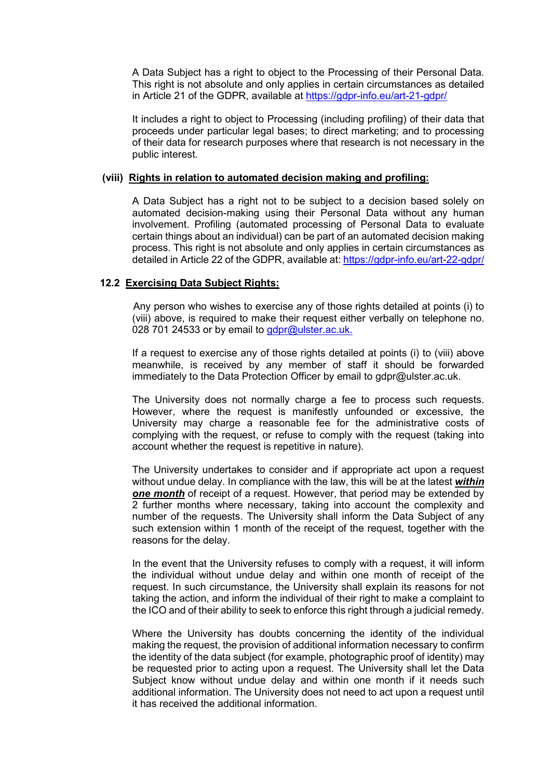A Data Subject has a right to object to the Processing of their Personal Data. This right is not absolute and only applies in certain circumstances as detailed in Article 21 of the GDPR, available at<https://gdpr-info.eu/art-21-gdpr/>

It includes a right to object to Processing (including profiling) of their data that proceeds under particular legal bases; to direct marketing; and to processing of their data for research purposes where that research is not necessary in the public interest.

#### **(viii) Rights in relation to automated decision making and profiling:**

A Data Subject has a right not to be subject to a decision based solely on automated decision-making using their Personal Data without any human involvement. Profiling (automated processing of Personal Data to evaluate certain things about an individual) can be part of an automated decision making process. This right is not absolute and only applies in certain circumstances as detailed in Article 22 of the GDPR, available at:<https://gdpr-info.eu/art-22-gdpr/>

# **12.2 Exercising Data Subject Rights:**

Any person who wishes to exercise any of those rights detailed at points (i) to (viii) above, is required to make their request either verbally on telephone no. 028 701 24533 or by email to [gdpr@ulster.ac.uk.](mailto:gdpr@ulster.ac.uk.)

If a request to exercise any of those rights detailed at points (i) to (viii) above meanwhile, is received by any member of staff it should be forwarded immediately to the Data Protection Officer by email to gdpr@ulster.ac.uk.

The University does not normally charge a fee to process such requests. However, where the request is manifestly unfounded or excessive, the University may charge a reasonable fee for the administrative costs of complying with the request, or refuse to comply with the request (taking into account whether the request is repetitive in nature).

The University undertakes to consider and if appropriate act upon a request without undue delay. In compliance with the law, this will be at the latest *within one month* of receipt of a request. However, that period may be extended by 2 further months where necessary, taking into account the complexity and number of the requests. The University shall inform the Data Subject of any such extension within 1 month of the receipt of the request, together with the reasons for the delay.

In the event that the University refuses to comply with a request, it will inform the individual without undue delay and within one month of receipt of the request. In such circumstance, the University shall explain its reasons for not taking the action, and inform the individual of their right to make a complaint to the ICO and of their ability to seek to enforce this right through a judicial remedy.

Where the University has doubts concerning the identity of the individual making the request, the provision of additional information necessary to confirm the identity of the data subject (for example, photographic proof of identity) may be requested prior to acting upon a request. The University shall let the Data Subject know without undue delay and within one month if it needs such additional information. The University does not need to act upon a request until it has received the additional information.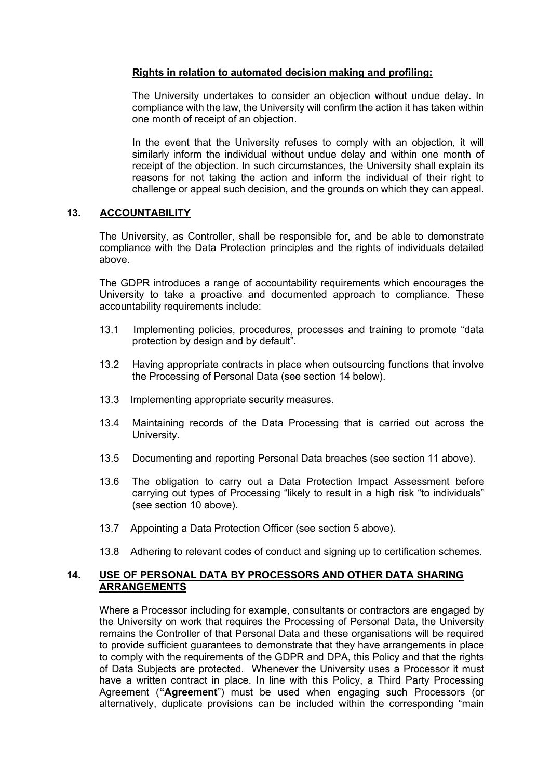# **Rights in relation to automated decision making and profiling:**

The University undertakes to consider an objection without undue delay. In compliance with the law, the University will confirm the action it has taken within one month of receipt of an objection.

In the event that the University refuses to comply with an objection, it will similarly inform the individual without undue delay and within one month of receipt of the objection. In such circumstances, the University shall explain its reasons for not taking the action and inform the individual of their right to challenge or appeal such decision, and the grounds on which they can appeal.

#### **13. ACCOUNTABILITY**

The University, as Controller, shall be responsible for, and be able to demonstrate compliance with the Data Protection principles and the rights of individuals detailed above.

The GDPR introduces a range of accountability requirements which encourages the University to take a proactive and documented approach to compliance. These accountability requirements include:

- 13.1 Implementing policies, procedures, processes and training to promote "data protection by design and by default".
- 13.2 Having appropriate contracts in place when outsourcing functions that involve the Processing of Personal Data (see section 14 below).
- 13.3 Implementing appropriate security measures.
- 13.4 Maintaining records of the Data Processing that is carried out across the University.
- 13.5 Documenting and reporting Personal Data breaches (see section 11 above).
- 13.6 The obligation to carry out a Data Protection Impact Assessment before carrying out types of Processing "likely to result in a high risk "to individuals" (see section 10 above).
- 13.7 Appointing a Data Protection Officer (see section 5 above).
- 13.8 Adhering to relevant codes of conduct and signing up to certification schemes.

# **14. USE OF PERSONAL DATA BY PROCESSORS AND OTHER DATA SHARING ARRANGEMENTS**

Where a Processor including for example, consultants or contractors are engaged by the University on work that requires the Processing of Personal Data, the University remains the Controller of that Personal Data and these organisations will be required to provide sufficient guarantees to demonstrate that they have arrangements in place to comply with the requirements of the GDPR and DPA, this Policy and that the rights of Data Subjects are protected. Whenever the University uses a Processor it must have a written contract in place. In line with this Policy, a Third Party Processing Agreement (**"Agreement**") must be used when engaging such Processors (or alternatively, duplicate provisions can be included within the corresponding "main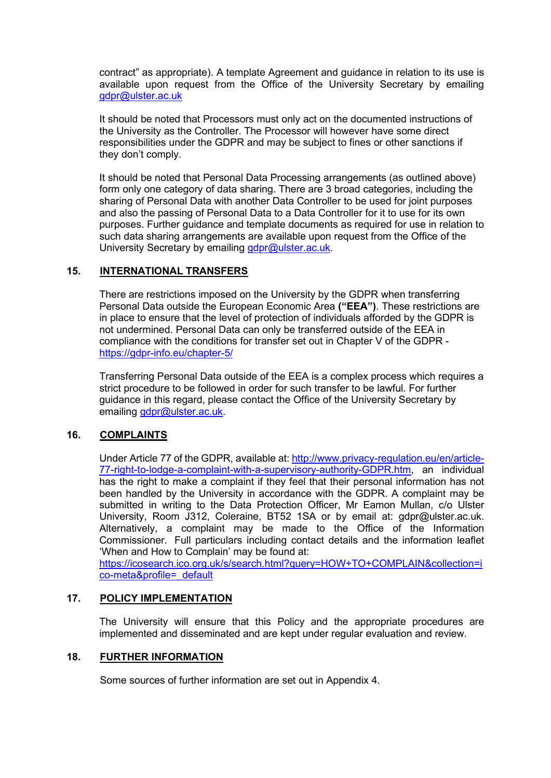contract" as appropriate). A template Agreement and guidance in relation to its use is available upon request from the Office of the University Secretary by emailing [gdpr@ulster.ac.uk](mailto:gdpr@ulster.ac.uk)

It should be noted that Processors must only act on the documented instructions of the University as the Controller. The Processor will however have some direct responsibilities under the GDPR and may be subject to fines or other sanctions if they don't comply.

It should be noted that Personal Data Processing arrangements (as outlined above) form only one category of data sharing. There are 3 broad categories, including the sharing of Personal Data with another Data Controller to be used for joint purposes and also the passing of Personal Data to a Data Controller for it to use for its own purposes. Further guidance and template documents as required for use in relation to such data sharing arrangements are available upon request from the Office of the University Secretary by emailing [gdpr@ulster.ac.uk.](mailto:gdpr@ulster.ac.uk)

# **15. INTERNATIONAL TRANSFERS**

There are restrictions imposed on the University by the GDPR when transferring Personal Data outside the European Economic Area **("EEA")**. These restrictions are in place to ensure that the level of protection of individuals afforded by the GDPR is not undermined. Personal Data can only be transferred outside of the EEA in compliance with the conditions for transfer set out in Chapter V of the GDPR <https://gdpr-info.eu/chapter-5/>

Transferring Personal Data outside of the EEA is a complex process which requires a strict procedure to be followed in order for such transfer to be lawful. For further guidance in this regard, please contact the Office of the University Secretary by emailing [gdpr@ulster.ac.uk.](mailto:gdpr@ulster.ac.uk)

# **16. COMPLAINTS**

Under Article 77 of the GDPR, available at: [http://www.privacy-regulation.eu/en/article-](http://www.privacy-regulation.eu/en/article-77-right-to-lodge-a-complaint-with-a-supervisory-authority-GDPR.htm)[77-right-to-lodge-a-complaint-with-a-supervisory-authority-GDPR.htm,](http://www.privacy-regulation.eu/en/article-77-right-to-lodge-a-complaint-with-a-supervisory-authority-GDPR.htm) an individual has the right to make a complaint if they feel that their personal information has not been handled by the University in accordance with the GDPR. A complaint may be submitted in writing to the Data Protection Officer, Mr Eamon Mullan, c/o Ulster University, Room J312, Coleraine, BT52 1SA or by email at: gdpr@ulster.ac.uk. Alternatively, a complaint may be made to the Office of the Information Commissioner. Full particulars including contact details and the information leaflet 'When and How to Complain' may be found at:

[https://icosearch.ico.org.uk/s/search.html?query=HOW+TO+COMPLAIN&collection=i](https://icosearch.ico.org.uk/s/search.html?query=HOW+TO+COMPLAIN&collection=ico-meta&profile=_default) [co-meta&profile=\\_default](https://icosearch.ico.org.uk/s/search.html?query=HOW+TO+COMPLAIN&collection=ico-meta&profile=_default)

# **17. POLICY IMPLEMENTATION**

The University will ensure that this Policy and the appropriate procedures are implemented and disseminated and are kept under regular evaluation and review.

# **18. FURTHER INFORMATION**

Some sources of further information are set out in Appendix 4.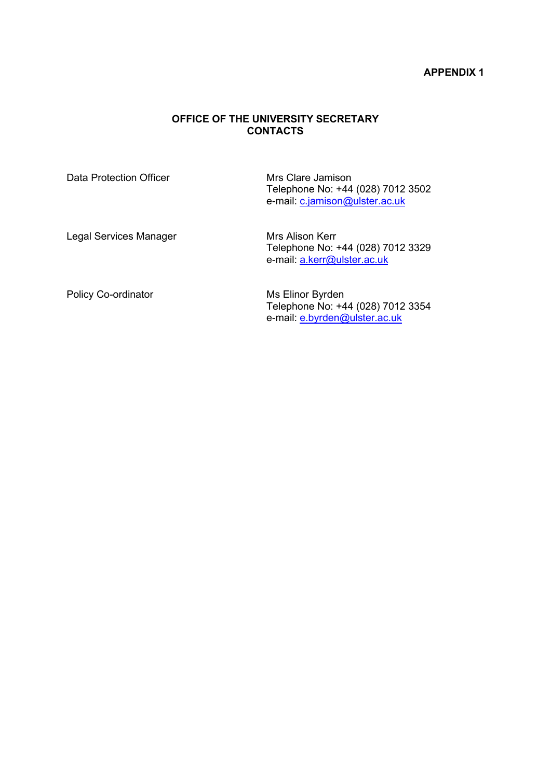#### **APPENDIX 1**

# **OFFICE OF THE UNIVERSITY SECRETARY CONTACTS**

Data Protection Officer **Mrs Clare Jamison** Telephone No: +44 (028) 7012 3502 e-mail: <u>[c.jamison@ulster.ac.uk](mailto:c.jamison@ulster.ac.uk)</u>

Legal Services Manager Mrs Alison Kerr

Telephone No: +44 (028) 7012 3329 e-mail: [a.kerr@ulster.ac.uk](mailto:a.kerr@ulster.ac.uk)

Policy Co-ordinator Ms Elinor Byrden

Telephone No: +44 (028) 7012 3354 e-mail: [e.byrden@ulster.ac.uk](mailto:e.byrden@ulster.ac.uk)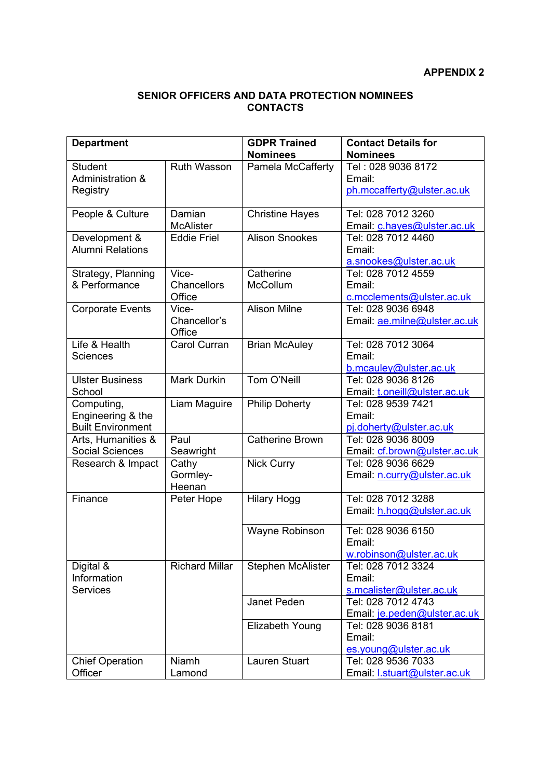# **SENIOR OFFICERS AND DATA PROTECTION NOMINEES CONTACTS**

| <b>Department</b>        |                               | <b>GDPR Trained</b>      | <b>Contact Details for</b>           |
|--------------------------|-------------------------------|--------------------------|--------------------------------------|
|                          |                               | <b>Nominees</b>          | <b>Nominees</b>                      |
| <b>Student</b>           | <b>Ruth Wasson</b>            | Pamela McCafferty        | Tel: 028 9036 8172                   |
| Administration &         |                               |                          | Email:<br>ph.mccafferty@ulster.ac.uk |
| Registry                 |                               |                          |                                      |
| People & Culture         | Damian                        | <b>Christine Hayes</b>   | Tel: 028 7012 3260                   |
|                          | <b>McAlister</b>              |                          | Email: c.hayes@ulster.ac.uk          |
| Development &            | <b>Eddie Friel</b>            | <b>Alison Snookes</b>    | Tel: 028 7012 4460                   |
| <b>Alumni Relations</b>  |                               |                          | Email:                               |
|                          |                               |                          | a.snookes@ulster.ac.uk               |
| Strategy, Planning       | Vice-                         | Catherine                | Tel: 028 7012 4559                   |
| & Performance            | <b>Chancellors</b>            | McCollum                 | Email:                               |
|                          | Office                        |                          | c.mcclements@ulster.ac.uk            |
| <b>Corporate Events</b>  | Vice-                         | <b>Alison Milne</b>      | Tel: 028 9036 6948                   |
|                          | Chancellor's                  |                          | Email: ae.milne@ulster.ac.uk         |
| Life & Health            | Office<br><b>Carol Curran</b> |                          | Tel: 028 7012 3064                   |
| <b>Sciences</b>          |                               | <b>Brian McAuley</b>     | Email:                               |
|                          |                               |                          | b.mcauley@ulster.ac.uk               |
| <b>Ulster Business</b>   | <b>Mark Durkin</b>            | Tom O'Neill              | Tel: 028 9036 8126                   |
| School                   |                               |                          | Email: t.oneill@ulster.ac.uk         |
| Computing,               | Liam Maguire                  | <b>Philip Doherty</b>    | Tel: 028 9539 7421                   |
| Engineering & the        |                               |                          | Email:                               |
| <b>Built Environment</b> |                               |                          | pj.doherty@ulster.ac.uk              |
| Arts, Humanities &       | Paul                          | <b>Catherine Brown</b>   | Tel: 028 9036 8009                   |
| <b>Social Sciences</b>   | Seawright                     |                          | Email: cf.brown@ulster.ac.uk         |
| Research & Impact        | Cathy                         | <b>Nick Curry</b>        | Tel: 028 9036 6629                   |
|                          | Gormley-                      |                          | Email: n.curry@ulster.ac.uk          |
|                          | Heenan                        |                          |                                      |
| Finance                  | Peter Hope                    | <b>Hilary Hogg</b>       | Tel: 028 7012 3288                   |
|                          |                               |                          | Email: h.hogg@ulster.ac.uk           |
|                          |                               | Wayne Robinson           | Tel: 028 9036 6150                   |
|                          |                               |                          | Email:                               |
|                          |                               |                          | w.robinson@ulster.ac.uk              |
| Digital &                | <b>Richard Millar</b>         | <b>Stephen McAlister</b> | Tel: 028 7012 3324                   |
| Information              |                               |                          | Email:                               |
| <b>Services</b>          |                               |                          | s.mcalister@ulster.ac.uk             |
|                          |                               | Janet Peden              | Tel: 028 7012 4743                   |
|                          |                               |                          | Email: je.peden@ulster.ac.uk         |
|                          |                               | Elizabeth Young          | Tel: 028 9036 8181                   |
|                          |                               |                          | Email:                               |
|                          |                               |                          | es.young@ulster.ac.uk                |
| <b>Chief Operation</b>   | Niamh                         | <b>Lauren Stuart</b>     | Tel: 028 9536 7033                   |
| Officer                  | Lamond                        |                          | Email: I.stuart@ulster.ac.uk         |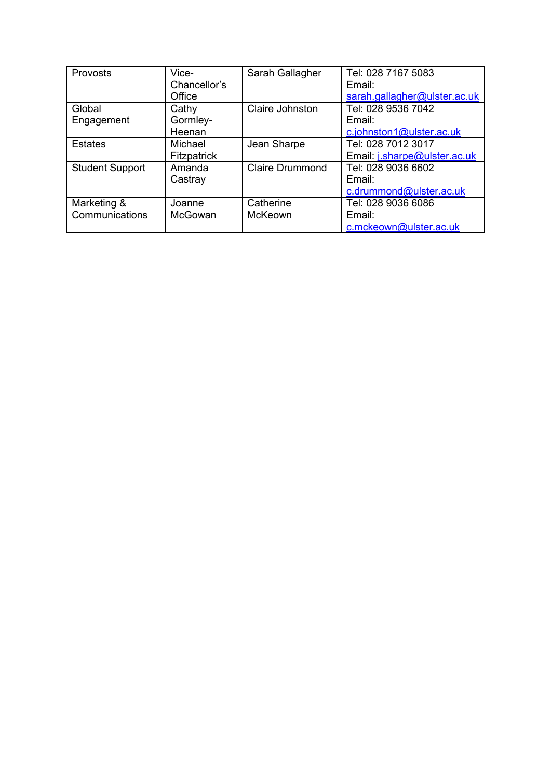| Provosts               | Vice-          | Sarah Gallagher        | Tel: 028 7167 5083           |
|------------------------|----------------|------------------------|------------------------------|
|                        | Chancellor's   |                        | Email:                       |
|                        | Office         |                        | sarah.gallagher@ulster.ac.uk |
| Global                 | Cathy          | Claire Johnston        | Tel: 028 9536 7042           |
| Engagement             | Gormley-       |                        | Email:                       |
|                        | Heenan         |                        | c.johnston1@ulster.ac.uk     |
| <b>Estates</b>         | Michael        | Jean Sharpe            | Tel: 028 7012 3017           |
|                        | Fitzpatrick    |                        | Email: j.sharpe@ulster.ac.uk |
| <b>Student Support</b> | Amanda         | <b>Claire Drummond</b> | Tel: 028 9036 6602           |
|                        | Castray        |                        | Email:                       |
|                        |                |                        | c.drummond@ulster.ac.uk      |
| Marketing &            | Joanne         | Catherine              | Tel: 028 9036 6086           |
| Communications         | <b>McGowan</b> | McKeown                | Email:                       |
|                        |                |                        | c.mckeown@ulster.ac.uk       |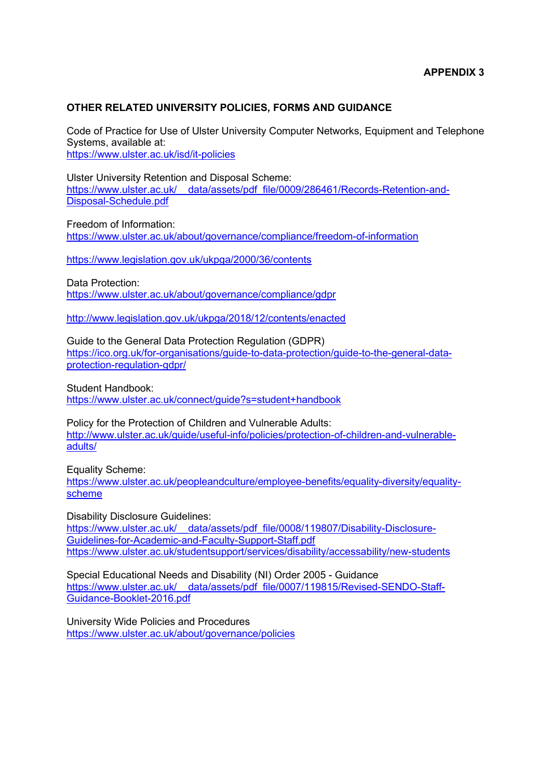# **OTHER RELATED UNIVERSITY POLICIES, FORMS AND GUIDANCE**

Code of Practice for Use of Ulster University Computer Networks, Equipment and Telephone Systems, available at: <https://www.ulster.ac.uk/isd/it-policies>

Ulster University Retention and Disposal Scheme: https://www.ulster.ac.uk/ data/assets/pdf\_file/0009/286461/Records-Retention-and-[Disposal-Schedule.pdf](https://www.ulster.ac.uk/__data/assets/pdf_file/0009/286461/Records-Retention-and-Disposal-Schedule.pdf)

Freedom of Information: <https://www.ulster.ac.uk/about/governance/compliance/freedom-of-information>

[https://www.legislation.gov.uk/ukpga/2000/36/contents](https://eur03.safelinks.protection.outlook.com/?url=https%3A%2F%2Fwww.legislation.gov.uk%2Fukpga%2F2000%2F36%2Fcontents&data=02%7C01%7Cj.rascalachi%40ulster.ac.uk%7C53073fb3373b4c6b196c08d72d3e8810%7C6f0b94874fa842a8aeb4bf2e2c22d4e8%7C0%7C0%7C637027618903676869&sdata=8ig6SYq0ukf9L1Rsogi4x71FPzWW7e%2BVVX1Y9zhwTsc%3D&reserved=0)

Data Protection:

<https://www.ulster.ac.uk/about/governance/compliance/gdpr>

[http://www.legislation.gov.uk/ukpga/2018/12/contents/enacted](https://eur03.safelinks.protection.outlook.com/?url=http%3A%2F%2Fwww.legislation.gov.uk%2Fukpga%2F2018%2F12%2Fcontents%2Fenacted&data=02%7C01%7Cj.rascalachi%40ulster.ac.uk%7C53073fb3373b4c6b196c08d72d3e8810%7C6f0b94874fa842a8aeb4bf2e2c22d4e8%7C0%7C0%7C637027618903676869&sdata=MQdEPHSems%2Bo8RR5AzGNQYJOuoBqC1ysXx7izDkBxmI%3D&reserved=0)

Guide to the General Data Protection Regulation (GDPR) [https://ico.org.uk/for-organisations/guide-to-data-protection/guide-to-the-general-data](https://ico.org.uk/for-organisations/guide-to-data-protection/guide-to-the-general-data-protection-regulation-gdpr/)[protection-regulation-gdpr/](https://ico.org.uk/for-organisations/guide-to-data-protection/guide-to-the-general-data-protection-regulation-gdpr/)

Student Handbook: <https://www.ulster.ac.uk/connect/guide?s=student+handbook>

Policy for the Protection of Children and Vulnerable Adults: [http://www.ulster.ac.uk/guide/useful-info/policies/protection-of-children-and-vulnerable](http://www.ulster.ac.uk/guide/useful-info/policies/protection-of-children-and-vulnerable-adults/)[adults/](http://www.ulster.ac.uk/guide/useful-info/policies/protection-of-children-and-vulnerable-adults/)

Equality Scheme: [https://www.ulster.ac.uk/peopleandculture/employee-benefits/equality-diversity/equality](https://www.ulster.ac.uk/peopleandculture/employee-benefits/equality-diversity/equality-scheme)[scheme](https://www.ulster.ac.uk/peopleandculture/employee-benefits/equality-diversity/equality-scheme)

Disability Disclosure Guidelines: https://www.ulster.ac.uk/ data/assets/pdf\_file/0008/119807/Disability-Disclosure-[Guidelines-for-Academic-and-Faculty-Support-Staff.pdf](https://www.ulster.ac.uk/__data/assets/pdf_file/0008/119807/Disability-Disclosure-Guidelines-for-Academic-and-Faculty-Support-Staff.pdf) <https://www.ulster.ac.uk/studentsupport/services/disability/accessability/new-students>

Special Educational Needs and Disability (NI) Order 2005 - Guidance https://www.ulster.ac.uk/ data/assets/pdf file/0007/119815/Revised-SENDO-Staff-[Guidance-Booklet-2016.pdf](https://www.ulster.ac.uk/__data/assets/pdf_file/0007/119815/Revised-SENDO-Staff-Guidance-Booklet-2016.pdf)

University Wide Policies and Procedures <https://www.ulster.ac.uk/about/governance/policies>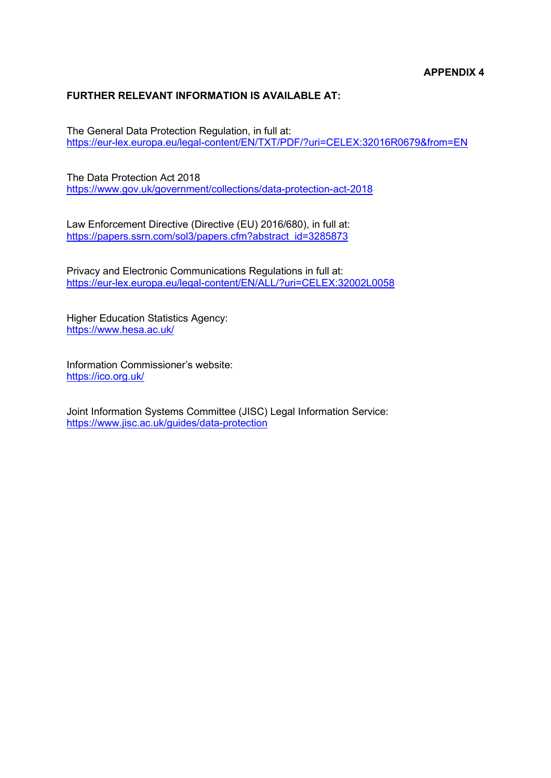# **FURTHER RELEVANT INFORMATION IS AVAILABLE AT:**

The General Data Protection Regulation, in full at: <https://eur-lex.europa.eu/legal-content/EN/TXT/PDF/?uri=CELEX:32016R0679&from=EN>

The Data Protection Act 2018 <https://www.gov.uk/government/collections/data-protection-act-2018>

Law Enforcement Directive (Directive (EU) 2016/680), in full at: [https://papers.ssrn.com/sol3/papers.cfm?abstract\\_id=3285873](https://papers.ssrn.com/sol3/papers.cfm?abstract_id=3285873)

Privacy and Electronic Communications Regulations in full at: <https://eur-lex.europa.eu/legal-content/EN/ALL/?uri=CELEX:32002L0058>

Higher Education Statistics Agency: <https://www.hesa.ac.uk/>

Information Commissioner's website: <https://ico.org.uk/>

Joint Information Systems Committee (JISC) Legal Information Service: <https://www.jisc.ac.uk/guides/data-protection>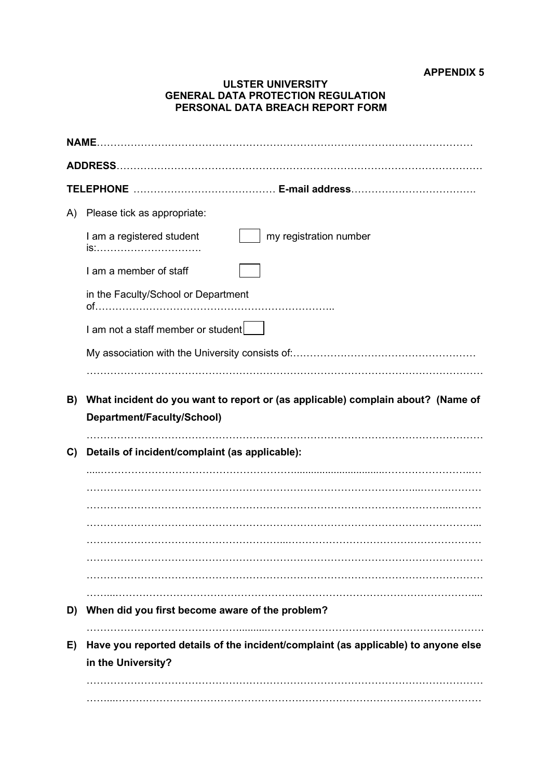### **APPENDIX 5**

#### **ULSTER UNIVERSITY GENERAL DATA PROTECTION REGULATION PERSONAL DATA BREACH REPORT FORM**

| NAME. |                                                                                                               |  |  |
|-------|---------------------------------------------------------------------------------------------------------------|--|--|
|       |                                                                                                               |  |  |
|       |                                                                                                               |  |  |
| A)    | Please tick as appropriate:                                                                                   |  |  |
|       | my registration number<br>I am a registered student<br>is:                                                    |  |  |
|       | I am a member of staff                                                                                        |  |  |
|       | in the Faculty/School or Department                                                                           |  |  |
|       | I am not a staff member or student                                                                            |  |  |
|       |                                                                                                               |  |  |
|       |                                                                                                               |  |  |
| B)    | What incident do you want to report or (as applicable) complain about? (Name of<br>Department/Faculty/School) |  |  |
| C)    | Details of incident/complaint (as applicable):                                                                |  |  |
|       |                                                                                                               |  |  |
|       |                                                                                                               |  |  |
|       |                                                                                                               |  |  |
|       |                                                                                                               |  |  |
|       |                                                                                                               |  |  |
|       |                                                                                                               |  |  |
| D)    | When did you first become aware of the problem?                                                               |  |  |
| E)    | Have you reported details of the incident/complaint (as applicable) to anyone else<br>in the University?      |  |  |
|       |                                                                                                               |  |  |